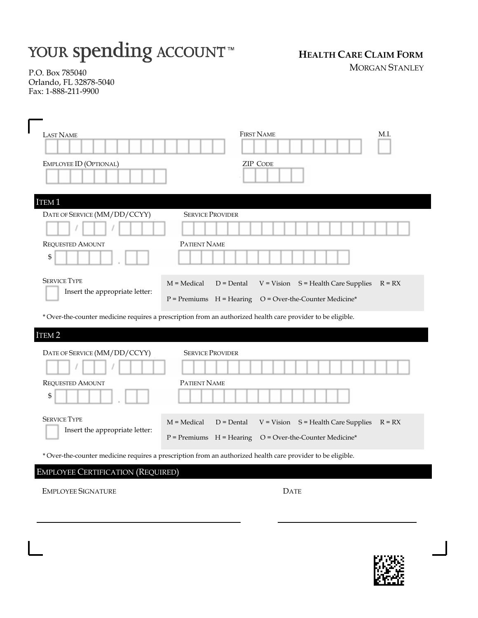# YOUR spending ACCOUNT™

# **HEALTH CARE CLAIM FORM**

MORGAN STANLEY

P.O. Box 785040 Orlando, FL 32878-5040 Fax: 1-888-211-9900

| <b>LAST NAME</b>                                                                                            | <b>FIRST NAME</b><br>M.I.                                                                                                                                                                                                                                                |
|-------------------------------------------------------------------------------------------------------------|--------------------------------------------------------------------------------------------------------------------------------------------------------------------------------------------------------------------------------------------------------------------------|
| EMPLOYEE ID (OPTIONAL)                                                                                      | <b>ZIP CODE</b>                                                                                                                                                                                                                                                          |
| ITEM <sub>1</sub>                                                                                           |                                                                                                                                                                                                                                                                          |
| DATE OF SERVICE (MM/DD/CCYY)                                                                                | <b>SERVICE PROVIDER</b>                                                                                                                                                                                                                                                  |
| <b>REQUESTED AMOUNT</b><br>\$                                                                               | PATIENT NAME                                                                                                                                                                                                                                                             |
| <b>SERVICE TYPE</b><br>Insert the appropriate letter:                                                       | $M = Medical$<br>$V = Vision$ $S = Health Care Supplies$<br>$D = D$ ental<br>$R = RX$<br>$O = Over-the-Counter Medicine*$<br>$P =$ Premiums $H =$ Hearing<br>* Over-the-counter medicine requires a prescription from an authorized health care provider to be eligible. |
| ITEM <sub>2</sub>                                                                                           |                                                                                                                                                                                                                                                                          |
| DATE OF SERVICE (MM/DD/CCYY)<br><b>REQUESTED AMOUNT</b><br>\$                                               | <b>SERVICE PROVIDER</b><br>PATIENT NAME                                                                                                                                                                                                                                  |
| <b>SERVICE TYPE</b><br>Insert the appropriate letter:                                                       | $M = Medical$<br>$D = D$ ental<br>$V = Vision$ $S = Health Care Supplies$<br>$R = RX$<br>$P =$ Premiums $H =$ Hearing<br>O = Over-the-Counter Medicine*                                                                                                                  |
| * Over-the-counter medicine requires a prescription from an authorized health care provider to be eligible. |                                                                                                                                                                                                                                                                          |

# EMPLOYEE CERTIFICATION (REQUIRED)

EMPLOYEE SIGNATURE DATE